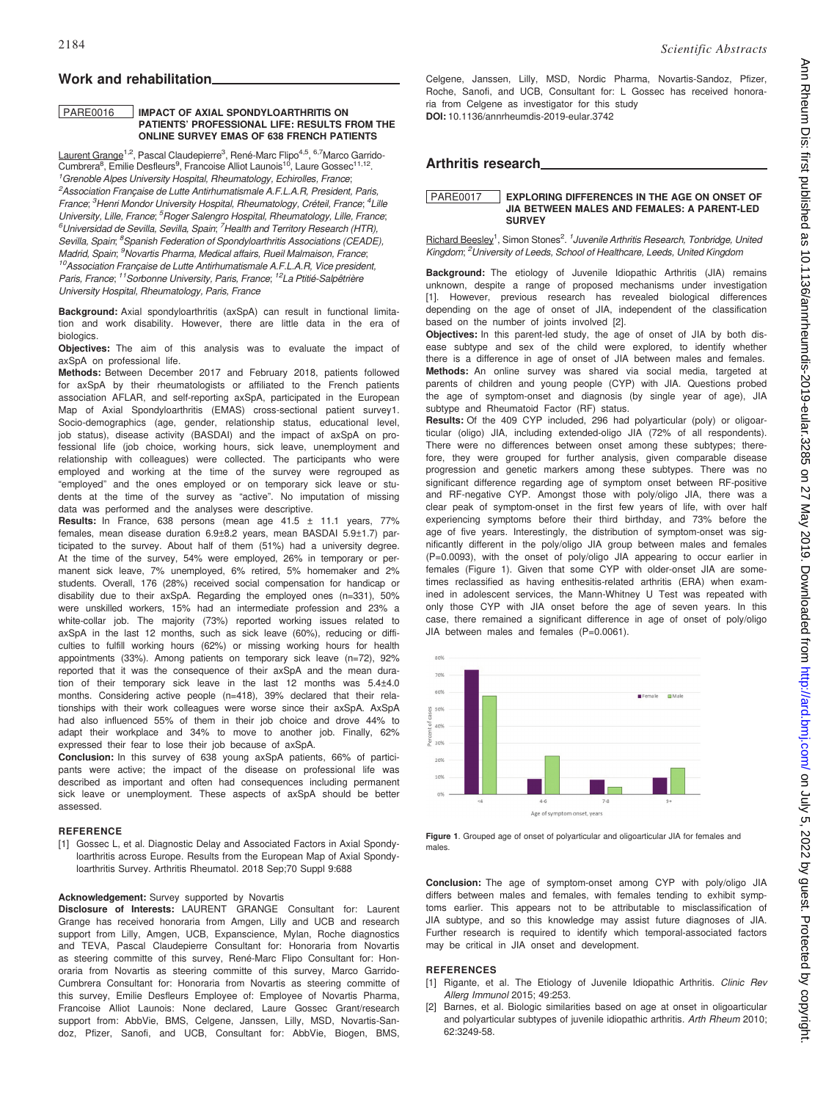# Work and rehabilitation

### PARE0016 IMPACT OF AXIAL SPONDYLOARTHRITIS ON PATIENTS' PROFESSIONAL LIFE: RESULTS FROM THE ONLINE SURVEY EMAS OF 638 FRENCH PATIENTS

Laurent Grange<sup>1,2</sup>, Pascal Claudepierre<sup>3</sup>, René-Marc Flipo<sup>4,5</sup>, <sup>6,7</sup>Marco Garrido-Cumbrera<sup>8</sup>, Emilie Desfleurs<sup>9</sup>, Francoise Alliot Launois<sup>10</sup>, Laure Gossec<sup>11,12</sup>. <sup>1</sup> Grenoble Alpes University Hospital, Rheumatology, Echirolles, France; <sup>2</sup>Association Française de Lutte Antirhumatismale A.F.L.A.R, President, Paris, France; <sup>3</sup>Henri Mondor University Hospital, Rheumatology, Créteil, France; <sup>4</sup>Lille University, Lille, France; <sup>5</sup>Roger Salengro Hospital, Rheumatology, Lille, France; <sup>6</sup>Universidad de Sevilla, Sevilla, Spain; <sup>7</sup>Health and Territory Research (HTR), Sevilla, Spain; <sup>8</sup>Spanish Federation of Spondyloarthritis Associations (CEADE), Madrid, Spain; <sup>9</sup>Novartis Pharma, Medical affairs, Rueil Malmaison, France; <sup>10</sup>Association Francaise de Lutte Antirhumatismale A.F.L.A.R, Vice president, Paris, France; 11Sorbonne University, Paris, France; 12La Ptitié-Salpêtrière University Hospital, Rheumatology, Paris, France

Background: Axial spondyloarthritis (axSpA) can result in functional limitation and work disability. However, there are little data in the era of biologics.

Objectives: The aim of this analysis was to evaluate the impact of axSpA on professional life.

Methods: Between December 2017 and February 2018, patients followed for axSpA by their rheumatologists or affiliated to the French patients association AFLAR, and self-reporting axSpA, participated in the European Map of Axial Spondyloarthritis (EMAS) cross-sectional patient survey1. Socio-demographics (age, gender, relationship status, educational level, job status), disease activity (BASDAI) and the impact of axSpA on professional life (job choice, working hours, sick leave, unemployment and relationship with colleagues) were collected. The participants who were employed and working at the time of the survey were regrouped as "employed" and the ones employed or on temporary sick leave or students at the time of the survey as "active". No imputation of missing data was performed and the analyses were descriptive.

**Results:** In France, 638 persons (mean age  $41.5 \pm 11.1$  years, 77% females, mean disease duration 6.9±8.2 years, mean BASDAI 5.9±1.7) participated to the survey. About half of them (51%) had a university degree. At the time of the survey, 54% were employed, 26% in temporary or permanent sick leave, 7% unemployed, 6% retired, 5% homemaker and 2% students. Overall, 176 (28%) received social compensation for handicap or disability due to their axSpA. Regarding the employed ones (n=331), 50% were unskilled workers, 15% had an intermediate profession and 23% a white-collar job. The majority (73%) reported working issues related to axSpA in the last 12 months, such as sick leave (60%), reducing or difficulties to fulfill working hours (62%) or missing working hours for health appointments (33%). Among patients on temporary sick leave (n=72), 92% reported that it was the consequence of their axSpA and the mean duration of their temporary sick leave in the last 12 months was 5.4±4.0 months. Considering active people (n=418), 39% declared that their relationships with their work colleagues were worse since their axSpA. AxSpA had also influenced 55% of them in their job choice and drove 44% to adapt their workplace and 34% to move to another job. Finally, 62% expressed their fear to lose their job because of axSpA.

Conclusion: In this survey of 638 young axSpA patients, 66% of participants were active; the impact of the disease on professional life was described as important and often had consequences including permanent sick leave or unemployment. These aspects of axSpA should be better assessed.

#### **REFERENCE**

[1] Gossec L, et al. Diagnostic Delay and Associated Factors in Axial Spondyloarthritis across Europe. Results from the European Map of Axial Spondyloarthritis Survey. Arthritis Rheumatol. 2018 Sep;70 Suppl 9:688

### Acknowledgement: Survey supported by Novartis

Disclosure of Interests: LAURENT GRANGE Consultant for: Laurent Grange has received honoraria from Amgen, Lilly and UCB and research support from Lilly, Amgen, UCB, Expanscience, Mylan, Roche diagnostics and TEVA, Pascal Claudepierre Consultant for: Honoraria from Novartis as steering committe of this survey, René-Marc Flipo Consultant for: Honoraria from Novartis as steering committe of this survey, Marco Garrido-Cumbrera Consultant for: Honoraria from Novartis as steering committe of this survey, Emilie Desfleurs Employee of: Employee of Novartis Pharma, Francoise Alliot Launois: None declared, Laure Gossec Grant/research support from: AbbVie, BMS, Celgene, Janssen, Lilly, MSD, Novartis-Sandoz, Pfizer, Sanofi, and UCB, Consultant for: AbbVie, Biogen, BMS,

Celgene, Janssen, Lilly, MSD, Nordic Pharma, Novartis-Sandoz, Pfizer, Roche, Sanofi, and UCB, Consultant for: L Gossec has received honoraria from Celgene as investigator for this study DOI: 10.1136/annrheumdis-2019-eular.3742

## Arthritis research

#### PARE0017 EXPLORING DIFFERENCES IN THE AGE ON ONSET OF JIA BETWEEN MALES AND FEMALES: A PARENT-LED **SURVEY**

Richard Beesley<sup>1</sup>, Simon Stones<sup>2, 1</sup> Juvenile Arthritis Research, Tonbridge, United Kingdom; <sup>2</sup>University of Leeds, School of Healthcare, Leeds, United Kingdon

Background: The etiology of Juvenile Idiopathic Arthritis (JIA) remains unknown, despite a range of proposed mechanisms under investigation [1]. However, previous research has revealed biological differences depending on the age of onset of JIA, independent of the classification based on the number of joints involved [2].

Objectives: In this parent-led study, the age of onset of JIA by both disease subtype and sex of the child were explored, to identify whether there is a difference in age of onset of JIA between males and females. Methods: An online survey was shared via social media, targeted at parents of children and young people (CYP) with JIA. Questions probed the age of symptom-onset and diagnosis (by single year of age), JIA subtype and Rheumatoid Factor (RF) status.

Results: Of the 409 CYP included, 296 had polyarticular (poly) or oligoarticular (oligo) JIA, including extended-oligo JIA (72% of all respondents). There were no differences between onset among these subtypes; therefore, they were grouped for further analysis, given comparable disease progression and genetic markers among these subtypes. There was no significant difference regarding age of symptom onset between RF-positive and RF-negative CYP. Amongst those with poly/oligo JIA, there was a clear peak of symptom-onset in the first few years of life, with over half experiencing symptoms before their third birthday, and 73% before the age of five years. Interestingly, the distribution of symptom-onset was significantly different in the poly/oligo JIA group between males and females (P=0.0093), with the onset of poly/oligo JIA appearing to occur earlier in females (Figure 1). Given that some CYP with older-onset JIA are sometimes reclassified as having enthesitis-related arthritis (ERA) when examined in adolescent services, the Mann-Whitney U Test was repeated with only those CYP with JIA onset before the age of seven years. In this case, there remained a significant difference in age of onset of poly/oligo JIA between males and females (P=0.0061).



Figure 1. Grouped age of onset of polyarticular and oligoarticular JIA for females and males.

Conclusion: The age of symptom-onset among CYP with poly/oligo JIA differs between males and females, with females tending to exhibit symptoms earlier. This appears not to be attributable to misclassification of JIA subtype, and so this knowledge may assist future diagnoses of JIA. Further research is required to identify which temporal-associated factors may be critical in JIA onset and development.

## **REFERENCES**

- [1] Rigante, et al. The Etiology of Juvenile Idiopathic Arthritis. Clinic Rev Allerg Immunol 2015; 49:253.
- [2] Barnes, et al. Biologic similarities based on age at onset in oligoarticular and polyarticular subtypes of juvenile idiopathic arthritis. Arth Rheum 2010; 62:3249-58.